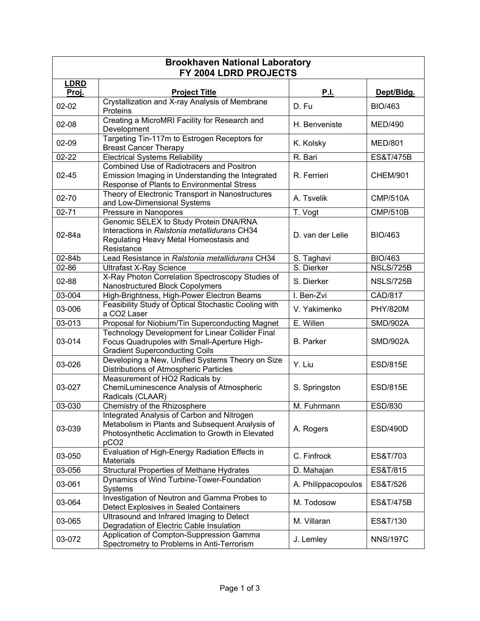| <b>Brookhaven National Laboratory</b><br>FY 2004 LDRD PROJECTS |                                                                                                                                                                       |                     |                      |  |  |
|----------------------------------------------------------------|-----------------------------------------------------------------------------------------------------------------------------------------------------------------------|---------------------|----------------------|--|--|
| <b>LDRD</b><br>Proj.                                           | <b>Project Title</b>                                                                                                                                                  | <b>P.I.</b>         | Dept/Bldg.           |  |  |
| $02 - 02$                                                      | Crystallization and X-ray Analysis of Membrane<br>Proteins                                                                                                            | D. Fu               | <b>BIO/463</b>       |  |  |
| $02 - 08$                                                      | Creating a MicroMRI Facility for Research and<br>Development                                                                                                          | H. Benveniste       | <b>MED/490</b>       |  |  |
| $02 - 09$                                                      | Targeting Tin-117m to Estrogen Receptors for<br><b>Breast Cancer Therapy</b>                                                                                          | K. Kolsky           | <b>MED/801</b>       |  |  |
| $02 - 22$                                                      | <b>Electrical Systems Reliability</b>                                                                                                                                 | R. Bari             | <b>ES&amp;T/475B</b> |  |  |
| $02 - 45$                                                      | <b>Combined Use of Radiotracers and Positron</b><br>Emission Imaging in Understanding the Integrated<br>Response of Plants to Environmental Stress                    | R. Ferrieri         | <b>CHEM/901</b>      |  |  |
| 02-70                                                          | Theory of Electronic Transport in Nanostructures<br>and Low-Dimensional Systems                                                                                       | A. Tsvelik          | <b>CMP/510A</b>      |  |  |
| $02 - 71$                                                      | Pressure in Nanopores                                                                                                                                                 | T. Vogt             | <b>CMP/510B</b>      |  |  |
| 02-84a                                                         | Genomic SELEX to Study Protein DNA/RNA<br>Interactions in Ralstonia metallidurans CH34<br>Regulating Heavy Metal Homeostasis and<br>Resistance                        | D. van der Lelie    | <b>BIO/463</b>       |  |  |
| 02-84b                                                         | Lead Resistance in Ralstonia metallidurans CH34                                                                                                                       | S. Taghavi          | <b>BIO/463</b>       |  |  |
| 02-86                                                          | <b>Ultrafast X-Ray Science</b>                                                                                                                                        | S. Dierker          | NSLS/725B            |  |  |
| 02-88                                                          | X-Ray Photon Correlation Spectroscopy Studies of<br>Nanostructured Block Copolymers                                                                                   | S. Dierker          | NSLS/725B            |  |  |
| 03-004                                                         | High-Brightness, High-Power Electron Beams                                                                                                                            | I. Ben-Zvi          | <b>CAD/817</b>       |  |  |
| 03-006                                                         | Feasibility Study of Optical Stochastic Cooling with<br>a CO2 Laser                                                                                                   | V. Yakimenko        | <b>PHY/820M</b>      |  |  |
| 03-013                                                         | Proposal for Niobium/Tin Superconducting Magnet                                                                                                                       | E. Willen           | <b>SMD/902A</b>      |  |  |
| 03-014                                                         | Technology Development for Linear Collider Final<br>Focus Quadrupoles with Small-Aperture High-<br><b>Gradient Superconducting Coils</b>                              | <b>B.</b> Parker    | <b>SMD/902A</b>      |  |  |
| 03-026                                                         | Developing a New, Unified Systems Theory on Size<br>Distributions of Atmospheric Particles                                                                            | Y. Liu              | <b>ESD/815E</b>      |  |  |
| 03-027                                                         | Measurement of HO2 Radicals by<br>ChemiLuminescence Analysis of Atmospheric<br>Radicals (CLAAR)                                                                       | S. Springston       | <b>ESD/815E</b>      |  |  |
| 03-030                                                         | Chemistry of the Rhizosphere                                                                                                                                          | M. Fuhrmann         | <b>ESD/830</b>       |  |  |
| 03-039                                                         | Integrated Analysis of Carbon and Nitrogen<br>Metabolism in Plants and Subsequent Analysis of<br>Photosynthetic Acclimation to Growth in Elevated<br>pCO <sub>2</sub> | A. Rogers           | <b>ESD/490D</b>      |  |  |
| 03-050                                                         | Evaluation of High-Energy Radiation Effects in<br><b>Materials</b>                                                                                                    | C. Finfrock         | ES&T/703             |  |  |
| 03-056                                                         | <b>Structural Properties of Methane Hydrates</b>                                                                                                                      | D. Mahajan          | ES&T/815             |  |  |
| 03-061                                                         | Dynamics of Wind Turbine-Tower-Foundation<br>Systems                                                                                                                  | A. Philippacopoulos | ES&T/526             |  |  |
| 03-064                                                         | Investigation of Neutron and Gamma Probes to<br>Detect Explosives in Sealed Containers                                                                                | M. Todosow          | ES&T/475B            |  |  |
| 03-065                                                         | Ultrasound and Infrared Imaging to Detect<br>Degradation of Electric Cable Insulation                                                                                 | M. Villaran         | ES&T/130             |  |  |
| 03-072                                                         | Application of Compton-Suppression Gamma<br>Spectrometry to Problems in Anti-Terrorism                                                                                | J. Lemley           | <b>NNS/197C</b>      |  |  |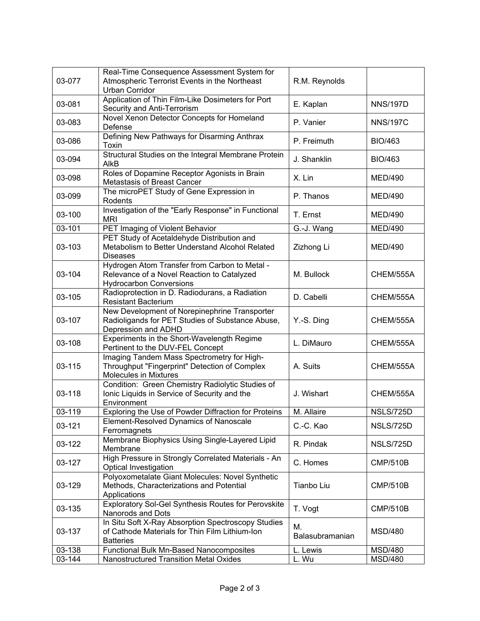| 03-077 | Real-Time Consequence Assessment System for<br>Atmospheric Terrorist Events in the Northeast<br>Urban Corridor                | R.M. Reynolds         |                 |
|--------|-------------------------------------------------------------------------------------------------------------------------------|-----------------------|-----------------|
| 03-081 | Application of Thin Film-Like Dosimeters for Port<br>Security and Anti-Terrorism                                              | E. Kaplan             | <b>NNS/197D</b> |
| 03-083 | Novel Xenon Detector Concepts for Homeland<br>Defense                                                                         | P. Vanier             | <b>NNS/197C</b> |
| 03-086 | Defining New Pathways for Disarming Anthrax<br>Toxin                                                                          | P. Freimuth           | <b>BIO/463</b>  |
| 03-094 | Structural Studies on the Integral Membrane Protein<br>AlkB                                                                   | J. Shanklin           | BIO/463         |
| 03-098 | Roles of Dopamine Receptor Agonists in Brain<br>Metastasis of Breast Cancer                                                   | X. Lin                | <b>MED/490</b>  |
| 03-099 | The microPET Study of Gene Expression in<br>Rodents                                                                           | P. Thanos             | <b>MED/490</b>  |
| 03-100 | Investigation of the "Early Response" in Functional<br><b>MRI</b>                                                             | T. Ernst              | <b>MED/490</b>  |
| 03-101 | PET Imaging of Violent Behavior                                                                                               | G.-J. Wang            | <b>MED/490</b>  |
| 03-103 | PET Study of Acetaldehyde Distribution and<br>Metabolism to Better Understand Alcohol Related<br><b>Diseases</b>              | Zizhong Li            | <b>MED/490</b>  |
| 03-104 | Hydrogen Atom Transfer from Carbon to Metal -<br>Relevance of a Novel Reaction to Catalyzed<br><b>Hydrocarbon Conversions</b> | M. Bullock            | CHEM/555A       |
| 03-105 | Radioprotection in D. Radiodurans, a Radiation<br><b>Resistant Bacterium</b>                                                  | D. Cabelli            | CHEM/555A       |
| 03-107 | New Development of Norepinephrine Transporter<br>Radioligands for PET Studies of Substance Abuse,<br>Depression and ADHD      | Y.-S. Ding            | CHEM/555A       |
| 03-108 | Experiments in the Short-Wavelength Regime<br>Pertinent to the DUV-FEL Concept                                                | L. DiMauro            | CHEM/555A       |
| 03-115 | Imaging Tandem Mass Spectrometry for High-<br>Throughput "Fingerprint" Detection of Complex<br><b>Molecules in Mixtures</b>   | A. Suits              | CHEM/555A       |
| 03-118 | Condition: Green Chemistry Radiolytic Studies of<br>Ionic Liquids in Service of Security and the<br>Environment               | J. Wishart            | CHEM/555A       |
| 03-119 | Exploring the Use of Powder Diffraction for Proteins                                                                          | M. Allaire            | NSLS/725D       |
| 03-121 | Element-Resolved Dynamics of Nanoscale<br>Ferromagnets                                                                        | C.-C. Kao             | NSLS/725D       |
| 03-122 | Membrane Biophysics Using Single-Layered Lipid<br>Membrane                                                                    | R. Pindak             | NSLS/725D       |
| 03-127 | High Pressure in Strongly Correlated Materials - An<br>Optical Investigation                                                  | C. Homes              | <b>CMP/510B</b> |
| 03-129 | Polyoxometalate Giant Molecules: Novel Synthetic<br>Methods, Characterizations and Potential<br>Applications                  | Tianbo Liu            | <b>CMP/510B</b> |
| 03-135 | <b>Exploratory Sol-Gel Synthesis Routes for Perovskite</b><br>Nanorods and Dots                                               | T. Vogt               | <b>CMP/510B</b> |
| 03-137 | In Situ Soft X-Ray Absorption Spectroscopy Studies<br>of Cathode Materials for Thin Film Lithium-Ion<br><b>Batteries</b>      | Μ.<br>Balasubramanian | <b>MSD/480</b>  |
| 03-138 | Functional Bulk Mn-Based Nanocomposites                                                                                       | L. Lewis              | <b>MSD/480</b>  |
| 03-144 | Nanostructured Transition Metal Oxides                                                                                        | L. Wu                 | <b>MSD/480</b>  |